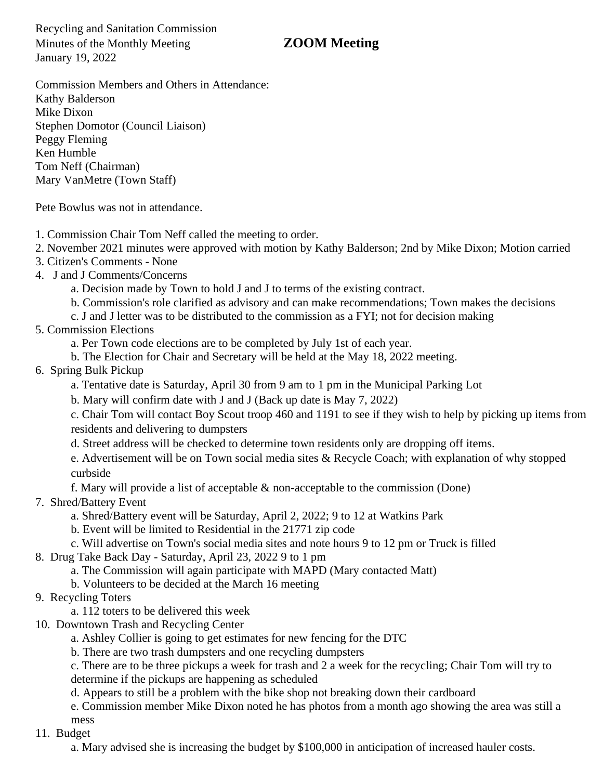Recycling and Sanitation Commission Minutes of the Monthly Meeting **ZOOM Meeting** January 19, 2022

Commission Members and Others in Attendance: Kathy Balderson Mike Dixon Stephen Domotor (Council Liaison) Peggy Fleming Ken Humble Tom Neff (Chairman) Mary VanMetre (Town Staff)

Pete Bowlus was not in attendance.

- 1. Commission Chair Tom Neff called the meeting to order.
- 2. November 2021 minutes were approved with motion by Kathy Balderson; 2nd by Mike Dixon; Motion carried
- 3. Citizen's Comments None
- 4. J and J Comments/Concerns
	- a. Decision made by Town to hold J and J to terms of the existing contract.
	- b. Commission's role clarified as advisory and can make recommendations; Town makes the decisions
	- c. J and J letter was to be distributed to the commission as a FYI; not for decision making
- 5. Commission Elections
	- a. Per Town code elections are to be completed by July 1st of each year.
	- b. The Election for Chair and Secretary will be held at the May 18, 2022 meeting.
- 6. Spring Bulk Pickup
	- a. Tentative date is Saturday, April 30 from 9 am to 1 pm in the Municipal Parking Lot
	- b. Mary will confirm date with J and J (Back up date is May 7, 2022)

c. Chair Tom will contact Boy Scout troop 460 and 1191 to see if they wish to help by picking up items from residents and delivering to dumpsters

- d. Street address will be checked to determine town residents only are dropping off items.
- e. Advertisement will be on Town social media sites & Recycle Coach; with explanation of why stopped curbside
- f. Mary will provide a list of acceptable & non-acceptable to the commission (Done)
- 7. Shred/Battery Event
	- a. Shred/Battery event will be Saturday, April 2, 2022; 9 to 12 at Watkins Park
	- b. Event will be limited to Residential in the 21771 zip code
	- c. Will advertise on Town's social media sites and note hours 9 to 12 pm or Truck is filled
- 8. Drug Take Back Day Saturday, April 23, 2022 9 to 1 pm
	- a. The Commission will again participate with MAPD (Mary contacted Matt)
	- b. Volunteers to be decided at the March 16 meeting
- 9. Recycling Toters
	- a. 112 toters to be delivered this week
- 10. Downtown Trash and Recycling Center
	- a. Ashley Collier is going to get estimates for new fencing for the DTC
	- b. There are two trash dumpsters and one recycling dumpsters
	- c. There are to be three pickups a week for trash and 2 a week for the recycling; Chair Tom will try to
	- determine if the pickups are happening as scheduled
	- d. Appears to still be a problem with the bike shop not breaking down their cardboard

e. Commission member Mike Dixon noted he has photos from a month ago showing the area was still a mess

11. Budget

a. Mary advised she is increasing the budget by \$100,000 in anticipation of increased hauler costs.